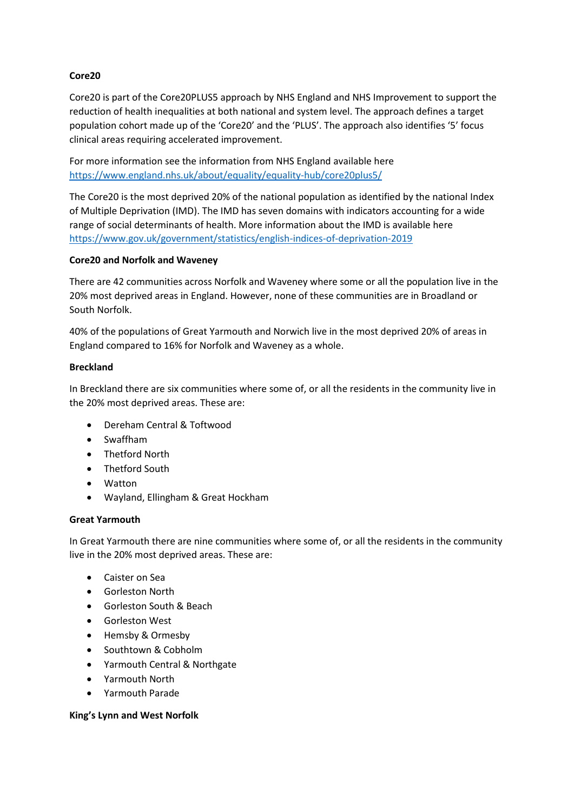# **Core20**

Core20 is part of the Core20PLUS5 approach by NHS England and NHS Improvement to support the reduction of health inequalities at both national and system level. The approach defines a target population cohort made up of the 'Core20' and the 'PLUS'. The approach also identifies '5' focus clinical areas requiring accelerated improvement.

For more information see the information from NHS England available here <https://www.england.nhs.uk/about/equality/equality-hub/core20plus5/>

The Core20 is the most deprived 20% of the national population as identified by the national Index of Multiple Deprivation (IMD). The IMD has seven domains with indicators accounting for a wide range of social determinants of health. More information about the IMD is available here <https://www.gov.uk/government/statistics/english-indices-of-deprivation-2019>

### **Core20 and Norfolk and Waveney**

There are 42 communities across Norfolk and Waveney where some or all the population live in the 20% most deprived areas in England. However, none of these communities are in Broadland or South Norfolk.

40% of the populations of Great Yarmouth and Norwich live in the most deprived 20% of areas in England compared to 16% for Norfolk and Waveney as a whole.

### **Breckland**

In Breckland there are six communities where some of, or all the residents in the community live in the 20% most deprived areas. These are:

- Dereham Central & Toftwood
- Swaffham
- Thetford North
- Thetford South
- Watton
- Wayland, Ellingham & Great Hockham

# **Great Yarmouth**

In Great Yarmouth there are nine communities where some of, or all the residents in the community live in the 20% most deprived areas. These are:

- Caister on Sea
- Gorleston North
- Gorleston South & Beach
- Gorleston West
- Hemsby & Ormesby
- Southtown & Cobholm
- Yarmouth Central & Northgate
- Yarmouth North
- Yarmouth Parade

# **King's Lynn and West Norfolk**